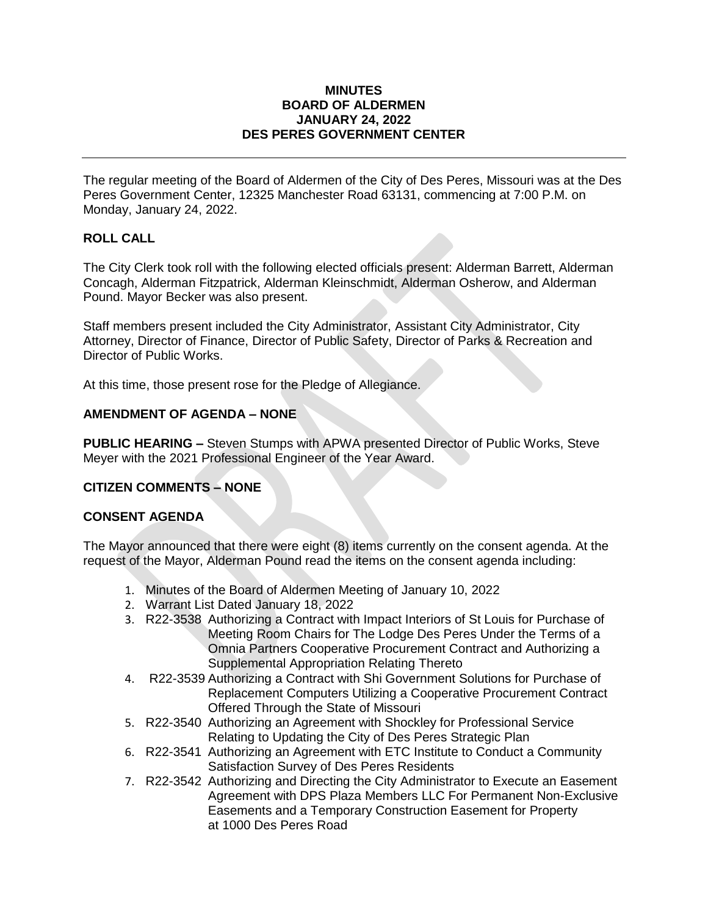#### **MINUTES BOARD OF ALDERMEN JANUARY 24, 2022 DES PERES GOVERNMENT CENTER**

The regular meeting of the Board of Aldermen of the City of Des Peres, Missouri was at the Des Peres Government Center, 12325 Manchester Road 63131, commencing at 7:00 P.M. on Monday, January 24, 2022.

# **ROLL CALL**

The City Clerk took roll with the following elected officials present: Alderman Barrett, Alderman Concagh, Alderman Fitzpatrick, Alderman Kleinschmidt, Alderman Osherow, and Alderman Pound. Mayor Becker was also present.

Staff members present included the City Administrator, Assistant City Administrator, City Attorney, Director of Finance, Director of Public Safety, Director of Parks & Recreation and Director of Public Works.

At this time, those present rose for the Pledge of Allegiance.

## **AMENDMENT OF AGENDA – NONE**

**PUBLIC HEARING –** Steven Stumps with APWA presented Director of Public Works, Steve Meyer with the 2021 Professional Engineer of the Year Award.

## **CITIZEN COMMENTS – NONE**

#### **CONSENT AGENDA**

The Mayor announced that there were eight (8) items currently on the consent agenda. At the request of the Mayor, Alderman Pound read the items on the consent agenda including:

- 1. Minutes of the Board of Aldermen Meeting of January 10, 2022
- 2. Warrant List Dated January 18, 2022
- 3. R22-3538 Authorizing a Contract with Impact Interiors of St Louis for Purchase of Meeting Room Chairs for The Lodge Des Peres Under the Terms of a Omnia Partners Cooperative Procurement Contract and Authorizing a Supplemental Appropriation Relating Thereto
- 4. R22-3539 Authorizing a Contract with Shi Government Solutions for Purchase of Replacement Computers Utilizing a Cooperative Procurement Contract Offered Through the State of Missouri
- 5. R22-3540 Authorizing an Agreement with Shockley for Professional Service Relating to Updating the City of Des Peres Strategic Plan
- 6. R22-3541 Authorizing an Agreement with ETC Institute to Conduct a Community Satisfaction Survey of Des Peres Residents
- 7. R22-3542 Authorizing and Directing the City Administrator to Execute an Easement Agreement with DPS Plaza Members LLC For Permanent Non-Exclusive Easements and a Temporary Construction Easement for Property at 1000 Des Peres Road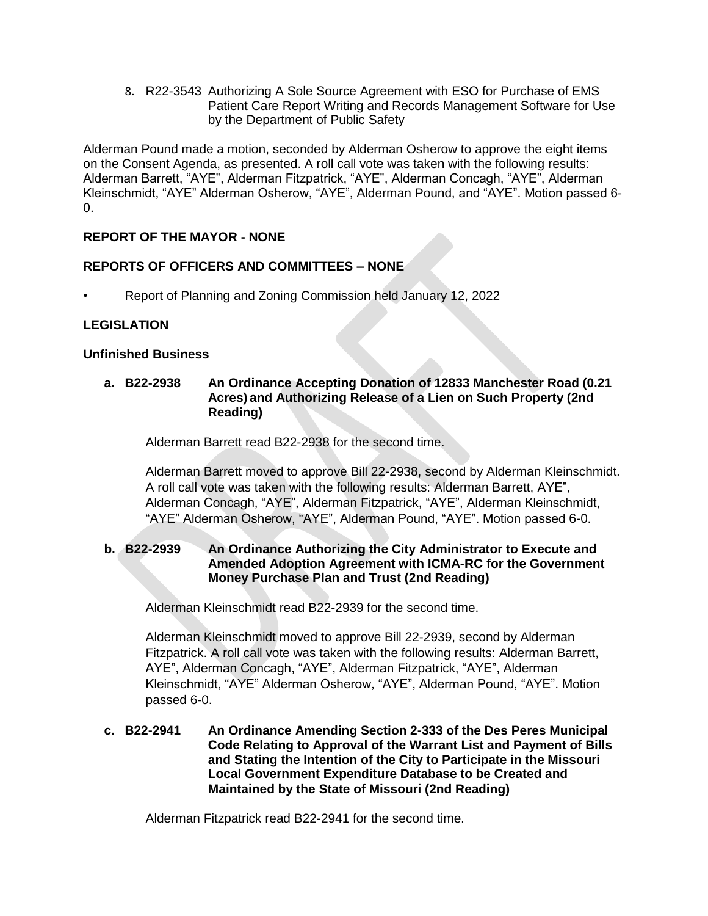8. R22-3543 Authorizing A Sole Source Agreement with ESO for Purchase of EMS Patient Care Report Writing and Records Management Software for Use by the Department of Public Safety

Alderman Pound made a motion, seconded by Alderman Osherow to approve the eight items on the Consent Agenda, as presented. A roll call vote was taken with the following results: Alderman Barrett, "AYE", Alderman Fitzpatrick, "AYE", Alderman Concagh, "AYE", Alderman Kleinschmidt, "AYE" Alderman Osherow, "AYE", Alderman Pound, and "AYE". Motion passed 6-  $\Omega$ .

# **REPORT OF THE MAYOR - NONE**

# **REPORTS OF OFFICERS AND COMMITTEES – NONE**

• Report of Planning and Zoning Commission held January 12, 2022

# **LEGISLATION**

### **Unfinished Business**

## **a. B22-2938 An Ordinance Accepting Donation of 12833 Manchester Road (0.21 Acres) and Authorizing Release of a Lien on Such Property (2nd Reading)**

Alderman Barrett read B22-2938 for the second time.

Alderman Barrett moved to approve Bill 22-2938, second by Alderman Kleinschmidt. A roll call vote was taken with the following results: Alderman Barrett, AYE", Alderman Concagh, "AYE", Alderman Fitzpatrick, "AYE", Alderman Kleinschmidt, "AYE" Alderman Osherow, "AYE", Alderman Pound, "AYE". Motion passed 6-0.

## **b. B22-2939 An Ordinance Authorizing the City Administrator to Execute and Amended Adoption Agreement with ICMA-RC for the Government Money Purchase Plan and Trust (2nd Reading)**

Alderman Kleinschmidt read B22-2939 for the second time.

Alderman Kleinschmidt moved to approve Bill 22-2939, second by Alderman Fitzpatrick. A roll call vote was taken with the following results: Alderman Barrett, AYE", Alderman Concagh, "AYE", Alderman Fitzpatrick, "AYE", Alderman Kleinschmidt, "AYE" Alderman Osherow, "AYE", Alderman Pound, "AYE". Motion passed 6-0.

**c. B22-2941 An Ordinance Amending Section 2-333 of the Des Peres Municipal Code Relating to Approval of the Warrant List and Payment of Bills and Stating the Intention of the City to Participate in the Missouri Local Government Expenditure Database to be Created and Maintained by the State of Missouri (2nd Reading)**

Alderman Fitzpatrick read B22-2941 for the second time.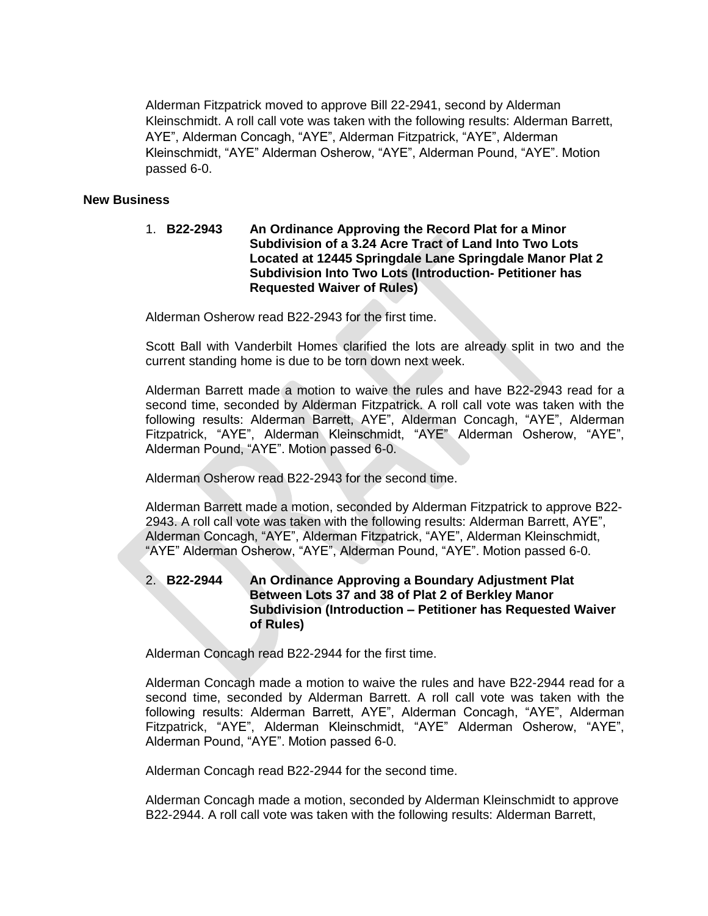Alderman Fitzpatrick moved to approve Bill 22-2941, second by Alderman Kleinschmidt. A roll call vote was taken with the following results: Alderman Barrett, AYE", Alderman Concagh, "AYE", Alderman Fitzpatrick, "AYE", Alderman Kleinschmidt, "AYE" Alderman Osherow, "AYE", Alderman Pound, "AYE". Motion passed 6-0.

#### **New Business**

1. **B22-2943 An Ordinance Approving the Record Plat for a Minor Subdivision of a 3.24 Acre Tract of Land Into Two Lots Located at 12445 Springdale Lane Springdale Manor Plat 2 Subdivision Into Two Lots (Introduction- Petitioner has Requested Waiver of Rules)**

Alderman Osherow read B22-2943 for the first time.

Scott Ball with Vanderbilt Homes clarified the lots are already split in two and the current standing home is due to be torn down next week.

Alderman Barrett made a motion to waive the rules and have B22-2943 read for a second time, seconded by Alderman Fitzpatrick. A roll call vote was taken with the following results: Alderman Barrett, AYE", Alderman Concagh, "AYE", Alderman Fitzpatrick, "AYE", Alderman Kleinschmidt, "AYE" Alderman Osherow, "AYE", Alderman Pound, "AYE". Motion passed 6-0.

Alderman Osherow read B22-2943 for the second time.

Alderman Barrett made a motion, seconded by Alderman Fitzpatrick to approve B22- 2943. A roll call vote was taken with the following results: Alderman Barrett, AYE", Alderman Concagh, "AYE", Alderman Fitzpatrick, "AYE", Alderman Kleinschmidt, "AYE" Alderman Osherow, "AYE", Alderman Pound, "AYE". Motion passed 6-0.

### 2. **B22-2944 An Ordinance Approving a Boundary Adjustment Plat Between Lots 37 and 38 of Plat 2 of Berkley Manor Subdivision (Introduction – Petitioner has Requested Waiver of Rules)**

Alderman Concagh read B22-2944 for the first time.

Alderman Concagh made a motion to waive the rules and have B22-2944 read for a second time, seconded by Alderman Barrett. A roll call vote was taken with the following results: Alderman Barrett, AYE", Alderman Concagh, "AYE", Alderman Fitzpatrick, "AYE", Alderman Kleinschmidt, "AYE" Alderman Osherow, "AYE", Alderman Pound, "AYE". Motion passed 6-0.

Alderman Concagh read B22-2944 for the second time.

Alderman Concagh made a motion, seconded by Alderman Kleinschmidt to approve B22-2944. A roll call vote was taken with the following results: Alderman Barrett,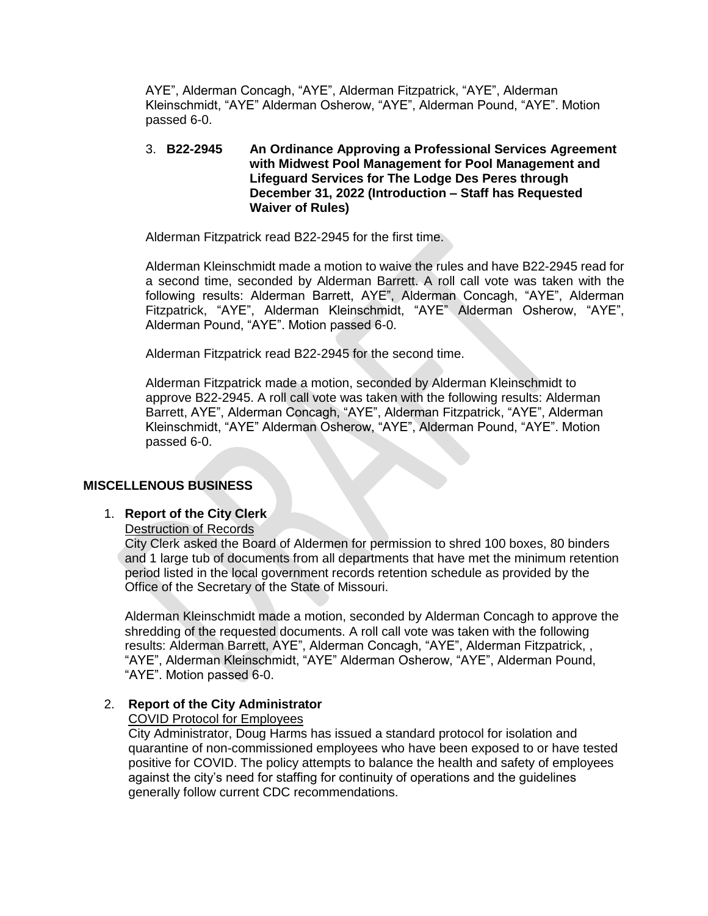AYE", Alderman Concagh, "AYE", Alderman Fitzpatrick, "AYE", Alderman Kleinschmidt, "AYE" Alderman Osherow, "AYE", Alderman Pound, "AYE". Motion passed 6-0.

#### 3. **B22-2945 An Ordinance Approving a Professional Services Agreement with Midwest Pool Management for Pool Management and Lifeguard Services for The Lodge Des Peres through December 31, 2022 (Introduction – Staff has Requested Waiver of Rules)**

Alderman Fitzpatrick read B22-2945 for the first time.

Alderman Kleinschmidt made a motion to waive the rules and have B22-2945 read for a second time, seconded by Alderman Barrett. A roll call vote was taken with the following results: Alderman Barrett, AYE", Alderman Concagh, "AYE", Alderman Fitzpatrick, "AYE", Alderman Kleinschmidt, "AYE" Alderman Osherow, "AYE", Alderman Pound, "AYE". Motion passed 6-0.

Alderman Fitzpatrick read B22-2945 for the second time.

Alderman Fitzpatrick made a motion, seconded by Alderman Kleinschmidt to approve B22-2945. A roll call vote was taken with the following results: Alderman Barrett, AYE", Alderman Concagh, "AYE", Alderman Fitzpatrick, "AYE", Alderman Kleinschmidt, "AYE" Alderman Osherow, "AYE", Alderman Pound, "AYE". Motion passed 6-0.

#### **MISCELLENOUS BUSINESS**

#### 1. **Report of the City Clerk**

Destruction of Records

City Clerk asked the Board of Aldermen for permission to shred 100 boxes, 80 binders and 1 large tub of documents from all departments that have met the minimum retention period listed in the local government records retention schedule as provided by the Office of the Secretary of the State of Missouri.

Alderman Kleinschmidt made a motion, seconded by Alderman Concagh to approve the shredding of the requested documents. A roll call vote was taken with the following results: Alderman Barrett, AYE", Alderman Concagh, "AYE", Alderman Fitzpatrick, , "AYE", Alderman Kleinschmidt, "AYE" Alderman Osherow, "AYE", Alderman Pound, "AYE". Motion passed 6-0.

#### 2. **Report of the City Administrator**

COVID Protocol for Employees

City Administrator, Doug Harms has issued a standard protocol for isolation and quarantine of non-commissioned employees who have been exposed to or have tested positive for COVID. The policy attempts to balance the health and safety of employees against the city's need for staffing for continuity of operations and the guidelines generally follow current CDC recommendations.